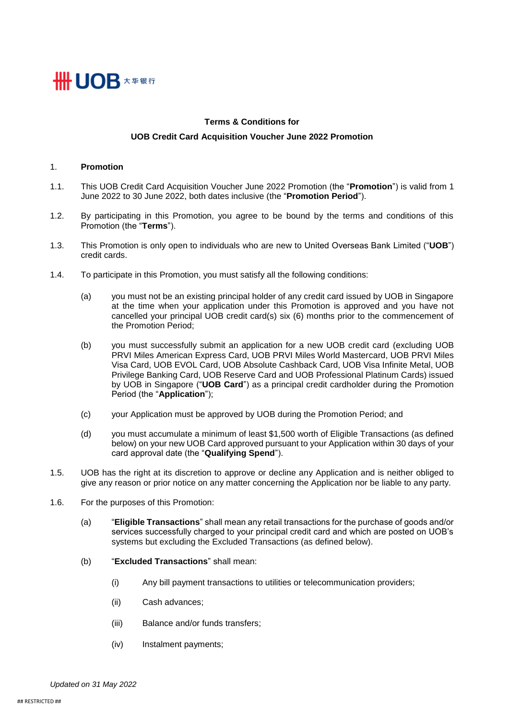

# **Terms & Conditions for UOB Credit Card Acquisition Voucher June 2022 Promotion**

### 1. **Promotion**

- 1.1. This UOB Credit Card Acquisition Voucher June 2022 Promotion (the "**Promotion**") is valid from 1 June 2022 to 30 June 2022, both dates inclusive (the "**Promotion Period**").
- 1.2. By participating in this Promotion, you agree to be bound by the terms and conditions of this Promotion (the "**Terms**").
- 1.3. This Promotion is only open to individuals who are new to United Overseas Bank Limited ("**UOB**") credit cards.
- <span id="page-0-0"></span>1.4. To participate in this Promotion, you must satisfy all the following conditions:
	- (a) you must not be an existing principal holder of any credit card issued by UOB in Singapore at the time when your application under this Promotion is approved and you have not cancelled your principal UOB credit card(s) six (6) months prior to the commencement of the Promotion Period;
	- (b) you must successfully submit an application for a new UOB credit card (excluding UOB PRVI Miles American Express Card, UOB PRVI Miles World Mastercard, UOB PRVI Miles Visa Card, UOB EVOL Card, UOB Absolute Cashback Card, UOB Visa Infinite Metal, UOB Privilege Banking Card, UOB Reserve Card and UOB Professional Platinum Cards) issued by UOB in Singapore ("**UOB Card**") as a principal credit cardholder during the Promotion Period (the "**Application**");
	- (c) your Application must be approved by UOB during the Promotion Period; and
	- (d) you must accumulate a minimum of least \$1,500 worth of Eligible Transactions (as defined below) on your new UOB Card approved pursuant to your Application within 30 days of your card approval date (the "**Qualifying Spend**").
- 1.5. UOB has the right at its discretion to approve or decline any Application and is neither obliged to give any reason or prior notice on any matter concerning the Application nor be liable to any party.
- 1.6. For the purposes of this Promotion:
	- (a) "**Eligible Transactions**" shall mean any retail transactions for the purchase of goods and/or services successfully charged to your principal credit card and which are posted on UOB's systems but excluding the Excluded Transactions (as defined below).
	- (b) "**Excluded Transactions**" shall mean:
		- (i) Any bill payment transactions to utilities or telecommunication providers;
		- (ii) Cash advances;
		- (iii) Balance and/or funds transfers;
		- (iv) Instalment payments;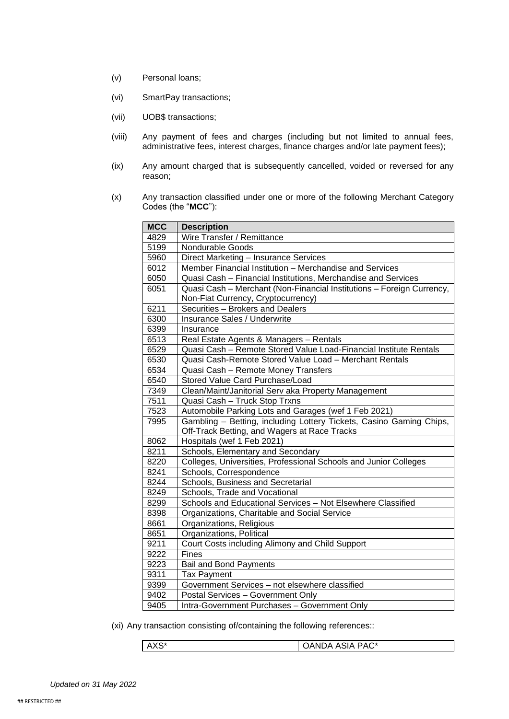- (v) Personal loans;
- (vi) SmartPay transactions;
- (vii) UOB\$ transactions;
- (viii) Any payment of fees and charges (including but not limited to annual fees, administrative fees, interest charges, finance charges and/or late payment fees);
- (ix) Any amount charged that is subsequently cancelled, voided or reversed for any reason;
- (x) Any transaction classified under one or more of the following Merchant Category Codes (the "**MCC**"):

| <b>MCC</b> | <b>Description</b>                                                                                                  |  |
|------------|---------------------------------------------------------------------------------------------------------------------|--|
| 4829       | Wire Transfer / Remittance                                                                                          |  |
| 5199       | <b>Nondurable Goods</b>                                                                                             |  |
| 5960       | Direct Marketing - Insurance Services                                                                               |  |
| 6012       | Member Financial Institution - Merchandise and Services                                                             |  |
| 6050       | Quasi Cash - Financial Institutions, Merchandise and Services                                                       |  |
| 6051       | Quasi Cash - Merchant (Non-Financial Institutions - Foreign Currency,                                               |  |
| 6211       | Non-Fiat Currency, Cryptocurrency)<br>Securities - Brokers and Dealers                                              |  |
|            | Insurance Sales / Underwrite                                                                                        |  |
| 6300       |                                                                                                                     |  |
| 6399       | Insurance                                                                                                           |  |
| 6513       | Real Estate Agents & Managers - Rentals                                                                             |  |
| 6529       | Quasi Cash - Remote Stored Value Load-Financial Institute Rentals                                                   |  |
| 6530       | Quasi Cash-Remote Stored Value Load - Merchant Rentals                                                              |  |
| 6534       | Quasi Cash - Remote Money Transfers                                                                                 |  |
| 6540       | Stored Value Card Purchase/Load                                                                                     |  |
| 7349       | Clean/Maint/Janitorial Serv aka Property Management                                                                 |  |
| 7511       | Quasi Cash - Truck Stop Trxns                                                                                       |  |
| 7523       | Automobile Parking Lots and Garages (wef 1 Feb 2021)                                                                |  |
| 7995       | Gambling - Betting, including Lottery Tickets, Casino Gaming Chips,<br>Off-Track Betting, and Wagers at Race Tracks |  |
| 8062       | Hospitals (wef 1 Feb 2021)                                                                                          |  |
| 8211       | Schools, Elementary and Secondary                                                                                   |  |
| 8220       | Colleges, Universities, Professional Schools and Junior Colleges                                                    |  |
| 8241       | Schools, Correspondence                                                                                             |  |
| 8244       | Schools, Business and Secretarial                                                                                   |  |
| 8249       | Schools, Trade and Vocational                                                                                       |  |
| 8299       | Schools and Educational Services - Not Elsewhere Classified                                                         |  |
| 8398       | Organizations, Charitable and Social Service                                                                        |  |
| 8661       | Organizations, Religious                                                                                            |  |
| 8651       | Organizations, Political                                                                                            |  |
| 9211       | Court Costs including Alimony and Child Support                                                                     |  |
| 9222       | <b>Fines</b>                                                                                                        |  |
| 9223       | <b>Bail and Bond Payments</b>                                                                                       |  |
| 9311       | <b>Tax Payment</b>                                                                                                  |  |
| 9399       | Government Services - not elsewhere classified                                                                      |  |
| 9402       | Postal Services - Government Only                                                                                   |  |
| 9405       | Intra-Government Purchases - Government Only                                                                        |  |

(xi) Any transaction consisting of/containing the following references::

| <b>DAO*</b><br>ANDA ASIA PAC<br>. .<br>$\mathbf{r}$<br>vv |
|-----------------------------------------------------------|
|-----------------------------------------------------------|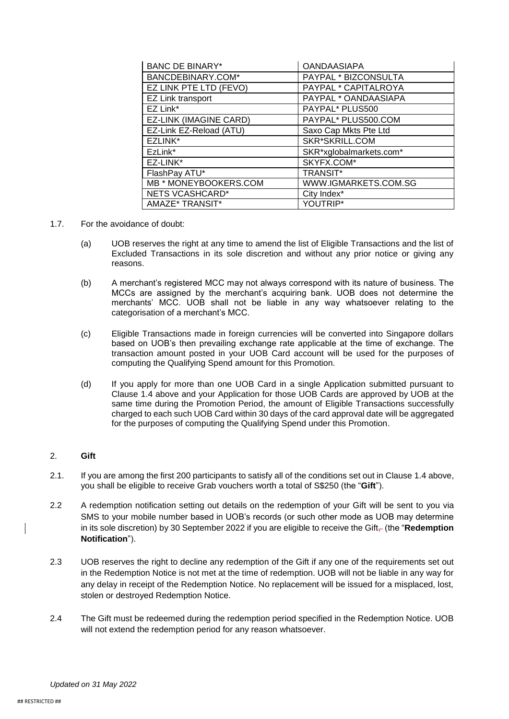| <b>BANC DE BINARY*</b>  | <b>OANDAASIAPA</b>      |
|-------------------------|-------------------------|
| BANCDEBINARY.COM*       | PAYPAL * BIZCONSULTA    |
| EZ LINK PTE LTD (FEVO)  | PAYPAL * CAPITALROYA    |
| EZ Link transport       | PAYPAL * OANDAASIAPA    |
| EZ Link*                | PAYPAL* PLUS500         |
| EZ-LINK (IMAGINE CARD)  | PAYPAL* PLUS500.COM     |
| EZ-Link EZ-Reload (ATU) | Saxo Cap Mkts Pte Ltd   |
| EZLINK*                 | SKR*SKRILL.COM          |
| EzLink*                 | SKR*xglobalmarkets.com* |
| EZ-LINK*                | SKYFX.COM*              |
| FlashPay ATU*           | <b>TRANSIT*</b>         |
| MB * MONEYBOOKERS.COM   | WWW.IGMARKETS.COM.SG    |
| NETS VCASHCARD*         | City Index*             |
| AMAZE* TRANSIT*         | YOUTRIP*                |

## 1.7. For the avoidance of doubt:

- (a) UOB reserves the right at any time to amend the list of Eligible Transactions and the list of Excluded Transactions in its sole discretion and without any prior notice or giving any reasons.
- (b) A merchant's registered MCC may not always correspond with its nature of business. The MCCs are assigned by the merchant's acquiring bank. UOB does not determine the merchants' MCC. UOB shall not be liable in any way whatsoever relating to the categorisation of a merchant's MCC.
- (c) Eligible Transactions made in foreign currencies will be converted into Singapore dollars based on UOB's then prevailing exchange rate applicable at the time of exchange. The transaction amount posted in your UOB Card account will be used for the purposes of computing the Qualifying Spend amount for this Promotion.
- (d) If you apply for more than one UOB Card in a single Application submitted pursuant to Clause [1.4 above](#page-0-0) and your Application for those UOB Cards are approved by UOB at the same time during the Promotion Period, the amount of Eligible Transactions successfully charged to each such UOB Card within 30 days of the card approval date will be aggregated for the purposes of computing the Qualifying Spend under this Promotion.

# 2. **Gift**

- 2.1. If you are among the first 200 participants to satisfy all of the conditions set out in Claus[e 1.4 above,](#page-0-0) you shall be eligible to receive Grab vouchers worth a total of S\$250 (the "**Gift**").
- 2.2 A redemption notification setting out details on the redemption of your Gift will be sent to you via SMS to your mobile number based in UOB's records (or such other mode as UOB may determine in its sole discretion) by 30 September 2022 if you are eligible to receive the Gift<sub></sub> (the "Redemption **Notification**").
- 2.3 UOB reserves the right to decline any redemption of the Gift if any one of the requirements set out in the Redemption Notice is not met at the time of redemption. UOB will not be liable in any way for any delay in receipt of the Redemption Notice. No replacement will be issued for a misplaced, lost, stolen or destroyed Redemption Notice.
- 2.4 The Gift must be redeemed during the redemption period specified in the Redemption Notice. UOB will not extend the redemption period for any reason whatsoever.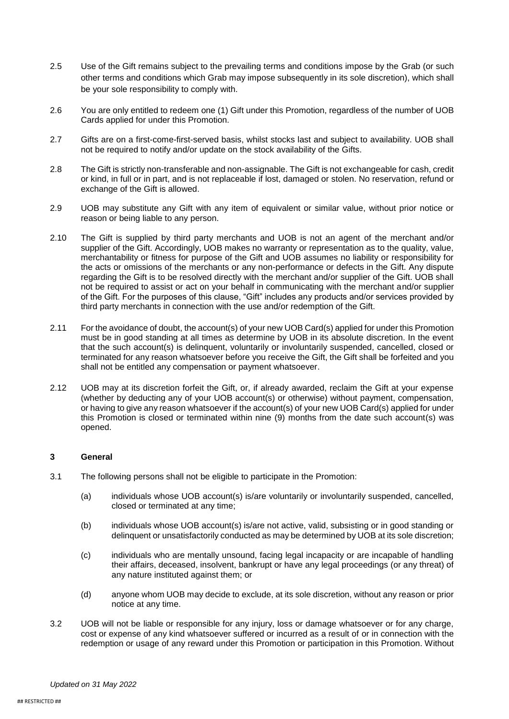- 2.5 Use of the Gift remains subject to the prevailing terms and conditions impose by the Grab (or such other terms and conditions which Grab may impose subsequently in its sole discretion), which shall be your sole responsibility to comply with.
- 2.6 You are only entitled to redeem one (1) Gift under this Promotion, regardless of the number of UOB Cards applied for under this Promotion.
- 2.7 Gifts are on a first-come-first-served basis, whilst stocks last and subject to availability. UOB shall not be required to notify and/or update on the stock availability of the Gifts.
- 2.8 The Gift is strictly non-transferable and non-assignable. The Gift is not exchangeable for cash, credit or kind, in full or in part, and is not replaceable if lost, damaged or stolen. No reservation, refund or exchange of the Gift is allowed.
- 2.9 UOB may substitute any Gift with any item of equivalent or similar value, without prior notice or reason or being liable to any person.
- 2.10 The Gift is supplied by third party merchants and UOB is not an agent of the merchant and/or supplier of the Gift. Accordingly, UOB makes no warranty or representation as to the quality, value, merchantability or fitness for purpose of the Gift and UOB assumes no liability or responsibility for the acts or omissions of the merchants or any non-performance or defects in the Gift. Any dispute regarding the Gift is to be resolved directly with the merchant and/or supplier of the Gift. UOB shall not be required to assist or act on your behalf in communicating with the merchant and/or supplier of the Gift. For the purposes of this clause, "Gift" includes any products and/or services provided by third party merchants in connection with the use and/or redemption of the Gift.
- 2.11 For the avoidance of doubt, the account(s) of your new UOB Card(s) applied for under this Promotion must be in good standing at all times as determine by UOB in its absolute discretion. In the event that the such account(s) is delinquent, voluntarily or involuntarily suspended, cancelled, closed or terminated for any reason whatsoever before you receive the Gift, the Gift shall be forfeited and you shall not be entitled any compensation or payment whatsoever.
- 2.12 UOB may at its discretion forfeit the Gift, or, if already awarded, reclaim the Gift at your expense (whether by deducting any of your UOB account(s) or otherwise) without payment, compensation, or having to give any reason whatsoever if the account(s) of your new UOB Card(s) applied for under this Promotion is closed or terminated within nine (9) months from the date such account(s) was opened.

### **3 General**

- 3.1 The following persons shall not be eligible to participate in the Promotion:
	- (a) individuals whose UOB account(s) is/are voluntarily or involuntarily suspended, cancelled, closed or terminated at any time;
	- (b) individuals whose UOB account(s) is/are not active, valid, subsisting or in good standing or delinquent or unsatisfactorily conducted as may be determined by UOB at its sole discretion;
	- (c) individuals who are mentally unsound, facing legal incapacity or are incapable of handling their affairs, deceased, insolvent, bankrupt or have any legal proceedings (or any threat) of any nature instituted against them; or
	- (d) anyone whom UOB may decide to exclude, at its sole discretion, without any reason or prior notice at any time.
- 3.2 UOB will not be liable or responsible for any injury, loss or damage whatsoever or for any charge, cost or expense of any kind whatsoever suffered or incurred as a result of or in connection with the redemption or usage of any reward under this Promotion or participation in this Promotion. Without